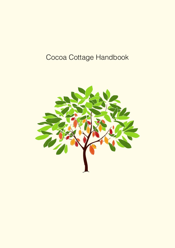# Cocoa Cottage Handbook

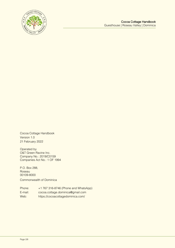

Cocoa Cottage Handbook Version 1.0 21 February 2022

Operated by O&T Green Ravine Inc. Company No.: 2019/C0159 Companies Act No.: 1 OF 1994

P.O. Box 288, Roseau 00109-8000 Commonwealth of Dominica

Phone: +1 767 316-8746 (Phone and WhatsApp) E-mail: cocoa.cottage.dominica@gmail.com Web: https://cocoacottagedominica.com/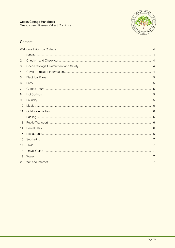

# Content

| 1              |  |  |
|----------------|--|--|
| $\overline{c}$ |  |  |
| 3              |  |  |
| 4              |  |  |
| 5              |  |  |
| 6              |  |  |
| 7              |  |  |
| 8              |  |  |
| 9              |  |  |
| 10             |  |  |
| 11             |  |  |
| 12             |  |  |
| 13             |  |  |
| 14             |  |  |
| 15             |  |  |
| 16             |  |  |
| 17             |  |  |
| 18             |  |  |
| 19             |  |  |
| 20             |  |  |
|                |  |  |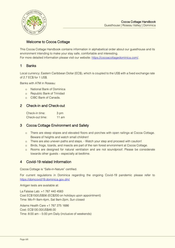

# <span id="page-3-0"></span>Welcome to Cocoa Cottage

This Cocoa Cottage Handbook contains information in alphabetical order about our guesthouse and its environment intending to make your stay safe, comfortable and interesting. For more detailed information please visit our website: [https://cocoacottagedominica.com/.](https://cocoacottagedominica.com/)

#### <span id="page-3-1"></span>1 Banks

Local currency: Eastern Caribbean Dollar (EC\$), which is coupled to the US\$ with a fixed exchange rate of 2.7 EC\$ for 1 US\$.

Banks with ATM in Roseau:

- o National Bank of Dominica
- o Republic Bank of Trinidad
- o CIBC Bank of Canada.

# <span id="page-3-2"></span>2 Check-in and Check-out

Check-in time: 3 pm Check-out time: 11 am

# <span id="page-3-3"></span>3 Cocoa Cottage Environment and Safety

- o There are steep slopes and elevated floors and porches with open railings at Cocoa Cottage. Beware of heights and watch small children!
- o There are also uneven paths and steps. Watch your step and proceed with caution!
- o Birds, frogs, lizards, and insects are part of the rain forest environment at Cocoa Cottage.
- o Rooms are designed for natural ventilation and are not soundproof. Please be considerate towards other guests – especially at bedtime.

# <span id="page-3-4"></span>4 Covid-19 related Information

Cocoa Cottage is "Safe-in-Nature" certified.

For current regulations in Dominica regarding the ongoing Covid-19 pandemic please refer to <https://domcovid19.dominica.gov.dm/>

Antigen tests are available at:

La Falaise Lab: +1 767 440 4583 Cost EC\$150/US\$56 (EC\$200 on holidays upon appointment) Time: Mo-Fr 8am-4pm, Sat 9am-2pm, Sun closed

Adams Health Care +1 767 275 1686 Cost: EC\$130.00/US\$48.00 Time: 8:00 am – 5:00 pm Daily (inclusive of weekends)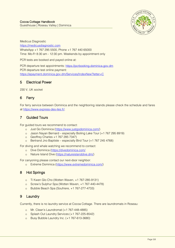

Medicus Diagnostic [https://medicusdiagnostic.com](https://medicusdiagnostic.com/) WhatsApp +1 767 295 5500, Phone +1 767 440 65000 Time: Mo-Fr 8:30 am - 12:30 pm. Weekends by appointment only

PCR tests are booked and payed online at:

PCR departure test appointments: [https://pcrbooking.dominica.gov.dm](https://pcrbooking.dominica.gov.dm/) PCR departure test online payment: <https://epayment.dominica.gov.dm/Services/IndexNew?letter=C>

#### <span id="page-4-0"></span>5 Electrical Power

230 V, UK socket

# <span id="page-4-1"></span>6 Ferry

For ferry service between Dominica and the neighboring islands please check the schedule and fares at [https://www.express-des-iles.fr/.](https://www.express-des-iles.fr/)

# <span id="page-4-2"></span>7 Guided Tours

For guided tours we recommend to contact:

- o Just Go Dominica [\(https://www.justgodominica.com/\)](https://www.justgodominica.com/)
- o Jason Nayan Bernard especially Boiling Lake Tour (+1 767 295 8919)
- o Geoffrey Charles +1 767 285 7347)
- o Bertrand Jno Baptiste especially Bird Tour (+1 767 245 4768)

For diving and whale watching we recommend to contact:

- o Dive Dominica [\(https://divedominica.com/](https://divedominica.com/)
- o Nature Island Dive [\(https://natureislanddive.dm/\)](https://natureislanddive.dm/)

For canyoning please contact our next-door neighbor:

o Extreme Dominica [\(https://www.extremedominica.com/\)](https://www.extremedominica.com/)

# <span id="page-4-3"></span>8 Hot Springs

- o Ti Kwen Glo Cho (Wotten Waven, +1 767-285-9131)
- o Screw's Sulphur Spa (Wotten Waven, +1 767-440-4478)
- o Bubble Beach Spa (Soufriere, +1 767-277-4733)

# <span id="page-4-4"></span>9 Laundry

Currently, there is no laundry service at Cocoa Cottage. There are laundromats in Roseau:

- o Mr. Clean's Laundromat (+1 767-448-4885)
- o Splash Out Laundry Services (+1 767-225-8542)
- o Busy Bubble Laundry Inc. (+1 767-613-3680)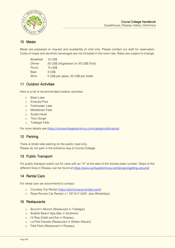

## <span id="page-5-0"></span>10 Meals

Meals are prepared on request and availability of chef only. Please contact our staff for reservation. Costs of meals and alcoholic beverages are not included in the room rate. Rates are subject to change.

Breakfast 15 US\$ Dinner 25 US\$ (Vegetarian) or 35 US\$ (Fish) Picnic 15 US\$ Beer 3 US\$ Wine 5 US\$ per glass, 25 US\$ per bottle

#### <span id="page-5-1"></span>11 Outdoor Activities

Here is a list of recommended outdoor activities:

- o Boeri Lake
- o Emerald Pool
- o Freshwater Lake
- o Middleham Falls
- o Scotts Head
- o Titou Gorge
- o Trafalgar Falls

For more details see<https://cocoacottagedominica.com/category/all/nature/>

# <span id="page-5-2"></span>12 Parking

There is street side parking on the public road only. Please do not park in the entrance way to Cocoa Cottage.

# <span id="page-5-3"></span>13 Public Transport

For public transport watch out for vans with an "H" at the start of the license plate number. Stops of the different lines in Roseau can be found at<https://www.avirtualdominica.com/project/getting-around/>

#### <span id="page-5-4"></span>14 Rental Cars

For rental cars we recommend to contact:

- o Courtesy Car Rental [\(https://dominicacarrentals.com/\)](https://dominicacarrentals.com/)
- o Road Runner Car Rental (+1 767-617-5337, also WhatsApp)

#### <span id="page-5-5"></span>15 Restaurants

- o Brunch'n Munch (Restaurant in Trafalgar)
- o Bubble Beach Spa (Bar in Soufriere)
- o Hi Rise (Café and Bar in Roseau)
- o Le Petit Paradis (Restaurant in Wotten Waven)
- o Petit Paris (Restaurant in Roseau)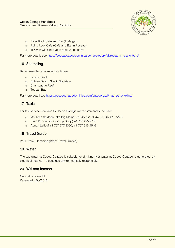

- o River Rock Cafe and Bar (Trafalgar)
- o Ruins Rock Café (Café and Bar in Roseau)
- o Ti Kwen Glo Cho (upon reservation only)

For more details see<https://cocoacottagedominica.com/category/all/restaurants-and-bars/>

# <span id="page-6-0"></span>16 Snorkeling

Recommended snorkeling spots are

- o Scotts Head
- o Bubble Beach Spa in Soufriere
- o Champagne Reef
- o Toucari Bay

For more detail see <https://cocoacottagedominica.com/category/all/nature/snorkeling/>

# <span id="page-6-1"></span>17 Taxis

For taxi service from and to Cocoa Cottage we recommend to contact:

- o [McClean St. Jean](https://photos.app.goo.gl/mMnU2oT3BwoqqhVD8) (aka Big Mama) +1 767 225 9344, +1 767 616 5150
- o Ryan Burton (for airport pick-up) +1 767 295 7705
- o Adnan Laflouf +1 767 277 8360, +1 767 615 4546

# <span id="page-6-2"></span>18 Travel Guide

Paul Crask, Dominica (Bradt Travel Guides)

# <span id="page-6-3"></span>19 Water

The tap water at Cocoa Cottage is suitable for drinking. Hot water at Cocoa Cottage is generated by electrical heating – please use environmentally responsibly.

# <span id="page-6-4"></span>20 Wifi and Internet

Network: cocoWIFI Password: c0c02018